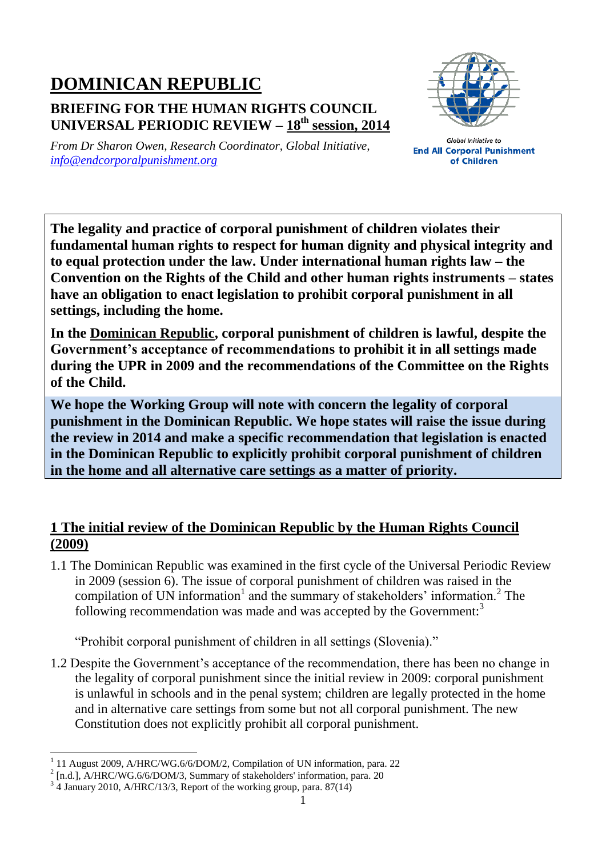## **DOMINICAN REPUBLIC**

## **BRIEFING FOR THE HUMAN RIGHTS COUNCIL UNIVERSAL PERIODIC REVIEW – 18 th session, 2014**



*From Dr Sharon Owen, Research Coordinator, Global Initiative, [info@endcorporalpunishment.org](mailto:info@endcorporalpunishment.org)*

**Global Initiative to End All Corporal Punishment** of Children

**The legality and practice of corporal punishment of children violates their fundamental human rights to respect for human dignity and physical integrity and to equal protection under the law. Under international human rights law – the Convention on the Rights of the Child and other human rights instruments – states have an obligation to enact legislation to prohibit corporal punishment in all settings, including the home.**

**In the Dominican Republic, corporal punishment of children is lawful, despite the Government's acceptance of recommendations to prohibit it in all settings made during the UPR in 2009 and the recommendations of the Committee on the Rights of the Child.**

**We hope the Working Group will note with concern the legality of corporal punishment in the Dominican Republic. We hope states will raise the issue during the review in 2014 and make a specific recommendation that legislation is enacted in the Dominican Republic to explicitly prohibit corporal punishment of children in the home and all alternative care settings as a matter of priority.**

## **1 The initial review of the Dominican Republic by the Human Rights Council (2009)**

1.1 The Dominican Republic was examined in the first cycle of the Universal Periodic Review in 2009 (session 6). The issue of corporal punishment of children was raised in the compilation of UN information<sup>1</sup> and the summary of stakeholders' information.<sup>2</sup> The following recommendation was made and was accepted by the Government:<sup>3</sup>

"Prohibit corporal punishment of children in all settings (Slovenia)."

1.2 Despite the Government's acceptance of the recommendation, there has been no change in the legality of corporal punishment since the initial review in 2009: corporal punishment is unlawful in schools and in the penal system; children are legally protected in the home and in alternative care settings from some but not all corporal punishment. The new Constitution does not explicitly prohibit all corporal punishment.

 $\overline{a}$ 1 11 August 2009, A/HRC/WG.6/6/DOM/2, Compilation of UN information, para. 22

<sup>&</sup>lt;sup>2</sup> [n.d.], A/HRC/WG.6/6/DOM/3, Summary of stakeholders' information, para. 20

<sup>&</sup>lt;sup>3</sup> 4 January 2010, A/HRC/13/3, Report of the working group, para. 87(14)